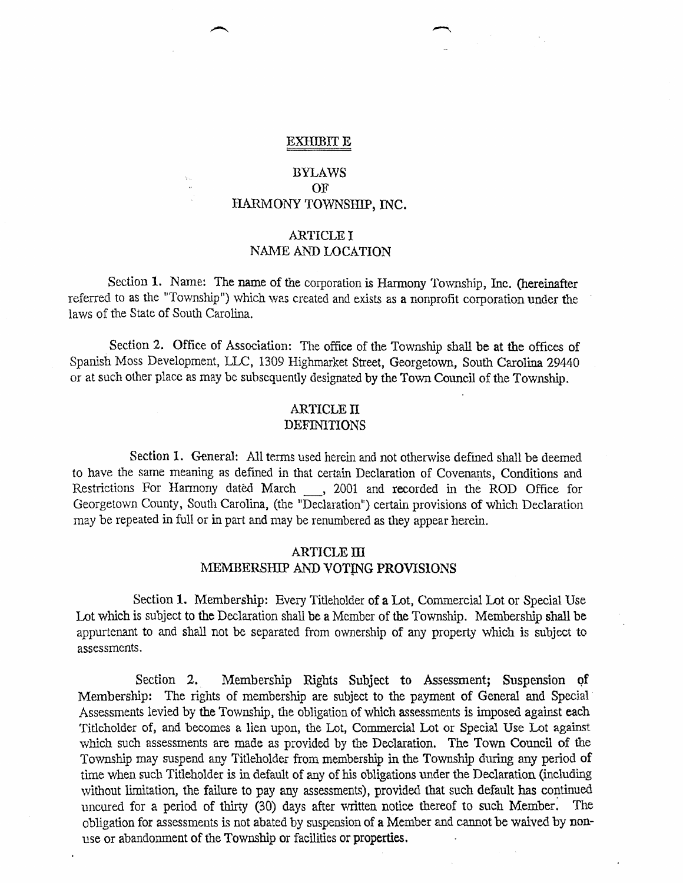#### EXHIBIT E

# BYLAWS OF HARMONY TOWNSHIP, INC.

## ARTICLE I NAME AND LOCATION

Section 1. Name: The name of the corporation is Harmony Township, Inc. (hereinafter referred to as the "Township") which was created and exists as a nonprofit corporation under the laws of the State of South Carolina.

Section 2. Office of Association: The office of the Township shall be at the offices of Spanish Moss Development, LLC, 1309 Highmarket Street, Georgetown, South Carolina 29440 or at such other place as may be subsequently designated by the Town Council of the Township.

#### ARTICLE N DEFINITIONS

Section 1. General: All terms used herein and not otherwise defined shall be deemed to have the same meaning as defined in that certain Declaration of Covenants, Conditions and Restrictions For Harmony dated March <sub>1</sub>, 2001 and recorded in the ROD Office for Georgetown County, South Carolina, (the "Declaration") certain provisions of which Declaration may be repeated in full or in part and may be renumbered as they appear herein.

## **ARTICLE III** MEMBERSHIP AND VOTING PROVISIONS

Section 1. Membership: Every Titleholder of a Lot, Commercial Lot or Special Use Lot which is subject to the Declaration shall be a Member of the Township. Membership shall be appurtenant to and shall not be separated from ownership of any property which is subject to assessments.

Section 2. Membership Rights Subject to Assessment; Suspension of Membership: The rights of membership are subject to the payment of General and Special Assessments levied by the Township, the obligation of which assessments is imposed against each Titleholder of, and becomes a lien upon, the Lot, Commercial Lot or Special Use Lot against which such assessments are made as provided by the Declaration. The Town Council of the Township may suspend any Titleholder from membership in the Township during any period of time when such Titleholder is in default of any of his obligations under the Declaration (including without limitation, the failure to pay any assessments), provided that such default has continued uncured for a period of thirty (30) days after written notice thereof to such Member. The obligation for assessments is not abated by suspension of a Member and cannot be waived by nonuse or abandonment of the Township or facilities ot properties. '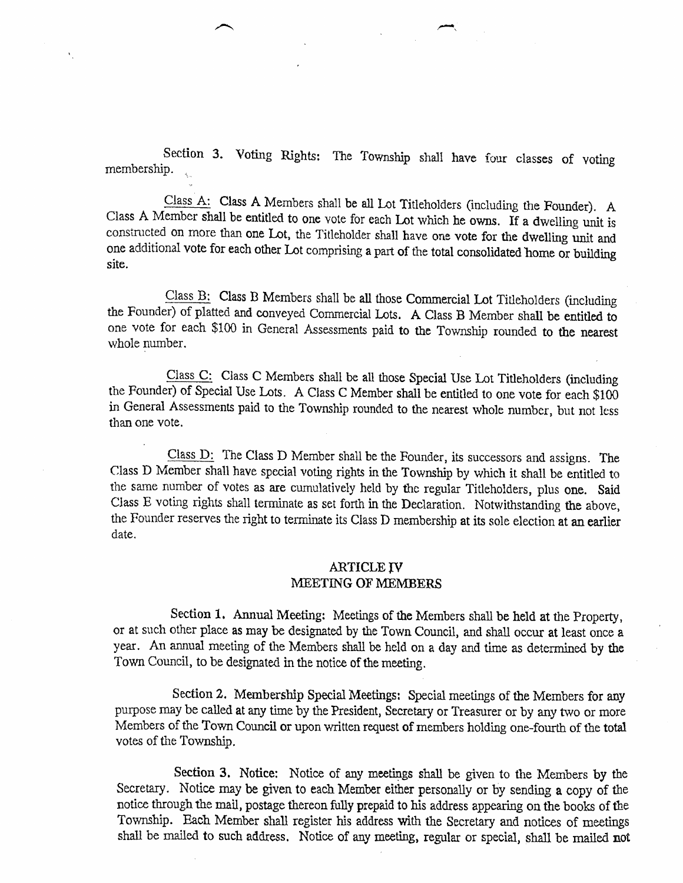Section 3. Voting Rights: The Township shall have four classes of voting membership.

Class A: Class A Members shall be all Lot Titleholders (including the Founder). A Class A Member shall be entitled to one vote for each Lot which he owns. If a dwelling unit is consintcted on more than one Lot, the Titleholder shall have one vote for the dwelling unit and one additional vote for each other Lot comprising a part of the total consolidated home or building site.

Class B: Class B Members shall be all those Commercial Lot Titleholders (including the Founder) of platted and conveyed Commercial Lots. A Class B Member shall be entitled to one vote for each \$100 in General Assessments paid to the Township rounded to the nearest whole number.

Class C: Class C Members shall be all those Special Use Lot Titleholders (including the Founder) of Special Use Lots. A Class C Member shall be entitled to one vote for each \$100 in General Assessments paid to the Township rounded to the nearest whole number, but not less than one vote.

Class D: The Class D Member shall be the Founder, its successors and assigns. The Class D Member shall have special voting rights in the Township by which it shall be entitled to the sarne number of votes as are cumulatively held by thc regular Titleholders, plus one. Said Class E voting rights shall terminate as set forth in the Declaration. Notwithstanding the above, the Founder reserves the right to terminate its Class D membership at its sole election at an earlier date.

### **ARTICLE IV** MEETING OF MEMBERS

Section 1. Annual Meeting: Meetings of the Members shali be held at the Property, or at such other place as may be designated by the Town Council, and shall occur at least once a year. An annual meeting of the Members shall be held on a day and time as determined by the Town Council, to be designated in the notice of the meeting.

Section 2. Membership Special Meetings: Special meetings of the Members for any purpose may be called at any time by the President, Secretary or Treasurer or by any two or more Members of the Town Council or upon written request of members holding one-fourth of the total votes of the Township.

Section 3. Notice: Notice of any meetings shall be given to the Members by the Secretary. Notice may be given to each Member either personaliy or by sending a copy of the notice through the mail, postage thereon fully prepaid to his address appearing on the books of tbe Township. Each Member shall register his address with the Secretary and notices of meetings shall be mailed to such address. Notice of any meeting, regular or special, shall be mailed not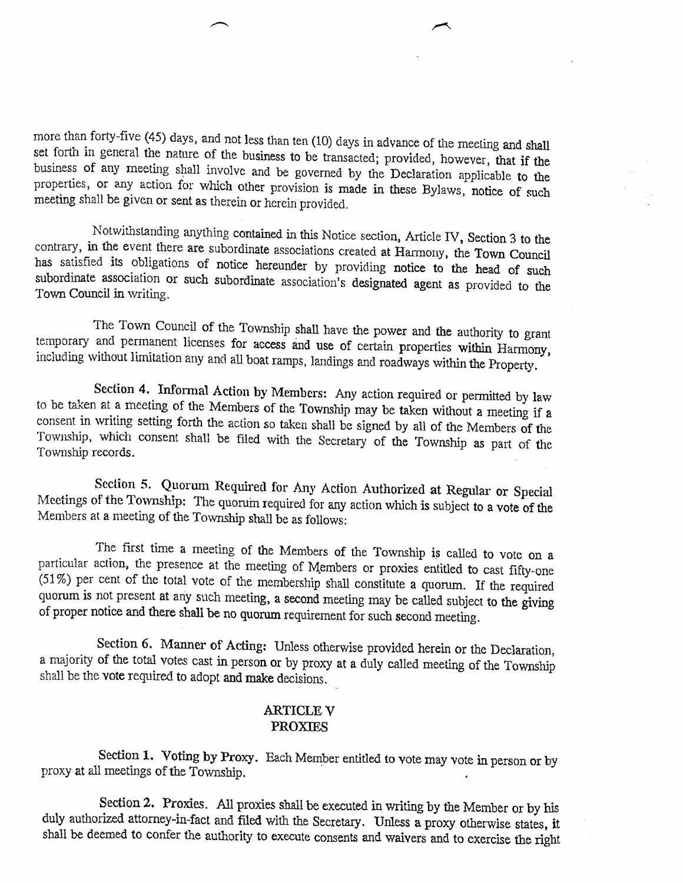$\overline{f}$ 

more than forty-five (45) days, and not less than ten (10) days in advance of the meeting and shall<br>set forth in general the nature of the business to be transacted; provided, however, that if the<br>business of any meeting s

Notwithstanding anything contained in this Notice section, Article IV, Section 3 to the contrary, in the event there are subordinate associations created at Harmony, the Town Council has satisfied its obligations of notice

The Town Council of the Township shall have the power and the authority to grant<br>temporary and permanent licenses for access and use of certain properties within Harmony,<br>including without limitation any and all boat ramps

Section 4. Informal Action by Members: Any action required or permitted by law to be taken at a meeting of the Members of the Township may be taken without a meeting if a consent in writing setting forth the action so take Township, which consent shall be filed with the Secretary of the Township as part of the Township records.

Section 5. Quorum Required for Any Action Authorized at Regular or Special Meetings of the Township: The quorum required for any action which is subject to a vote of the Members at a meeting of the Township shall be as fol

The first time a meeting of the Members of the Township is called to vote on a particular action, the presence at the meeting of Members or proxies entitled to cast fifty-one  $(51%)$  per cent of the total vote of the membership shall constitute a quorum. If the required qu0rum is not present at any such meeting, a second meeting may be called subject to the giving of proper notice and there shall be no quorum requirement for such second meeting.

Section 6. Manner of Acting: Unless otherwise provided herein or the Declaration, a majority of the total votes cast in person or by proxy at a duly called meeting of the Township shall be the vote reguired to adopt and make decisions.

#### ARTICLE V PROXIES

Section 1. Voting by Proxy. Each Member entitled to vote may vote in person or by proxy at all meetings of the Township.  $\frac{1}{2}$  and the Homelian to Yote may vote

Section 2. Proxies. All proxies shall be executed in writing by the Member or by his duly authorized attorney-in-fact and filed with the Secretary. Unless a proxy otherwise states, it shall be deemed to confer the authority to execute consents and waivers and to exercise the right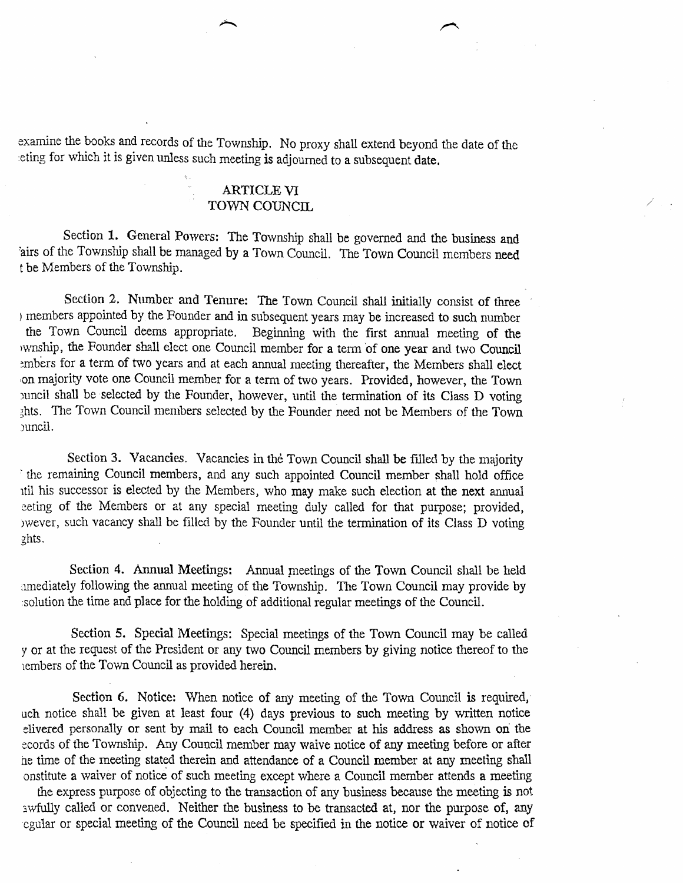sxamine the books and records of the Township. No proxy shall extend beyond the date af the eting for which it is given unless such meeting is adjourned to a subsequent date.

## ARTICLE VI TOWN COUNCIL

Section 1. General Powers: The Township shall be governed and the business and fairs of the Township shall be managed by a Town Council. The Town Council members need t be Members of the Township.

Section 2. Number and Tenure: The Town Council shall initially consist of three ) members appourted by the Founder and in subsequent years may be increased to such number the Town Council deems appropriate, Beginning with the frst anrrual meeting of the wnship, the Founder shall elect one Council member for a term of one year and two Council embers for a term of two years and at each annual meeting thereafter, the Members shall elect on majority vote one Council member for a term of two years. Provided, however, the Town puncil shall be selected by the Founder, however, until the termination of its Class D voting chts. The Town Council members selected by the Founder need not be Members of the Town :uncil.

Section 3. Vacancies. Vacancies in the Town Council shall be filled by the majority ' the remaining Council members, and any such appointed Council member shall hold office rtil his successor is elected by the Mernbers, who may make such election at the next arrnual eeting of the Members or at any special meeting duly called for that purpose; provided, )wever, such vacancy shall be filled by the Founder until the terrnination of its Ciass D voting ghts.

Section 4. Annual Meetings: Annual meetings of the Town Council shall be held amediately following the annual meeting of the Township. The Town Council may provide by rsolution the time and place for the holding of additional regular meetings of the Council.

Section 5. Special Meetings: Special meetings of the Town Council may be called y or at the request of the President or any two Council members by giving notice thereof to the rembers of the Town Council as provided herein

Section 6. Notice: When notice of any meeting of the Town Council is required, uch notice shall be given at least four (4) days previous to zuch meeting by written notice elivered personally or sent by mail to each Council member at his address as shown on the ecords of the Township. Any Council member may waive notice of any meeting before or after he time of the meeting stated therein and attendance of a Council member at any meeting shall onstituie a waiver of notice of such meeting except where a Council member attends a meeting

the express purpose of objecting to the transaction of any business because the meeting is not awfully called or convened. Neither the business to be transacted at, nor the purpose of, any egular or special meeting of the Council need be specified in the notice or waiver of notice of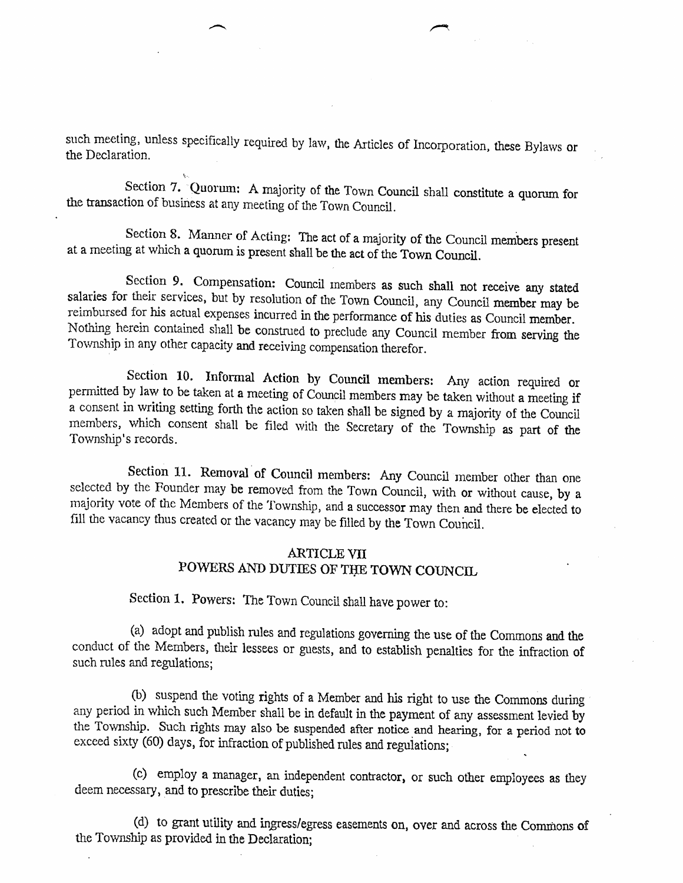such meeting, unless specifically required by law, the Articles of Incorporation, these Bylaws or the Declaration.

Section 7. Quorum: A majority of the Town Council shall constitute a quorum for the transaction of business at any meeting of the Town Council.

Section 8. Manner of Acting: The act of a majority of the Council members present at a meeting at which a quorum is present shall be the act of the Town Council.

Section 9. Compensation: Council members as such shall not receive any stated salaries for their services, but by resolution of the Town Council, any Council member may be reimbursed for his actual expenses incurred in the performance of his duties as Council member.<br>Nothing herein contained shall be construed to preclude any Council member from serving the Township in any other capacity and

Section 10. Informal Action by Council members: Any action required or permitted by law to be taken at a meeting of Council members may be taken without a meeting if a consent in writing setting forth the action so taken shall be signed by a majority of the Council members, which consent shall be filed with the Secretary of the Township as part of the Township's records.

Section 11. Removal of Council members: Any Council member other than one selected by the Founder may be removed from the Town Council, with or without cause, by <sup>a</sup> majority vote of the Members of the Township, and a successor may then and there be elected to fill the vacancy thus created or the vacancy may be filled by the Town Council.

# ARTICLE VII POWERS AND DUTIES OF THE TOWN COUNCIL

Section 1. Powers: The Town Council shall have power to:

(a) adopt and publish rules and regulations governing the use of the Commons and the conduct of the Members, their lessees or guests, and to establish penalties for the infraction of such rules and regulations;

(b) suspend the voting rights of a Member and his right to use the Commons during any period in which such Member shall be in default in the payment of any assessment levied by the Torvnship. Such rights may also be suspended after notice and hearing, for a period not to exceed sixty (60) days, for infraction of published rules and regulations;

(c) employ a manager, an independent contractor, or such other employees as they deem necessary, and to prescribe their duties;

(d) to grant utility and ingress/egress easements on, over and across the Commons of the Township as provided in the Declaration;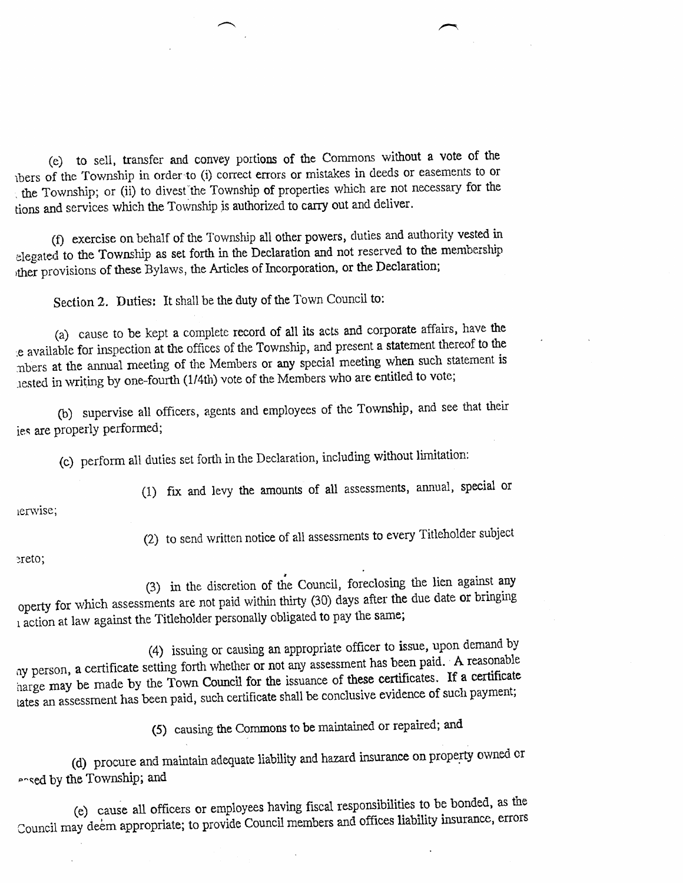(e) to sell, trarxfer and convey portions of the Commons without a vote of the thers of the Township in order to (i) correct errors or mistakes in deeds or easements to or . the Township; or (ii) to divest the Township of properties which are not necessary for the tions and services which the Township is authorized to carry out and deliver.

(f) exercise on behalf of the Township all other powers, duties and authority vested in elegated to the Township as set forth in the Declaration and not reserved to the membership ther provisions of these Bylaws, the Articles of Incorporation, or the Declaration;

Section 2. Duties: It shall be the duty of the Town Council to:

(a) cause to be kept a complete record of all its acts and corporate affairs, have the :e available for impection at the offices of the Towrxhip, and present. a statement thereof to the mbers at the annual meeting of the Members or any special meeting when such statement is rested in writing by one-fourth (1/4th) vote of the Members who are entitled to vote;

(b) supervise all officers, agents and employees of the Township, and see that their ies are properly performed;

(c) perform all duties set forth in the Declaration, including without limitation:

ierwise;

(2) to send written notice of all assessments to every Titleholder subject

(1) frx and ievy the amounts of all assessments, annual, special or

#### ereto;

(3) in the discretion of the Council, foreclosing the lien against any operty for which assessments are not paid within thirty (30) days after the due date or bringing  $\frac{1}{2}$  action at law against the Titleholder personally obligated to pay the same;

(4) issuing or causing an appropriate offtcer to issue, upon demand by ay person, a certificate setting forth whether or not any assessment has been paid. A reasonable harge may be made by the Town Council for the issuance of these certificates. If a certificate tates an assessment has been paid, such certificate shall be conclusive evidence of such payment;

(5) causing the Commons to be maintained or repaired; and

(d) procure and maintain adequate liability and hazard insurance on property owned or ansed by the Township; and

(e) cause all officers or empioyees having fiscal resporsibilities to be bonded, as the Council may deem appropriate; to provide Council members and offices liability insurance, errors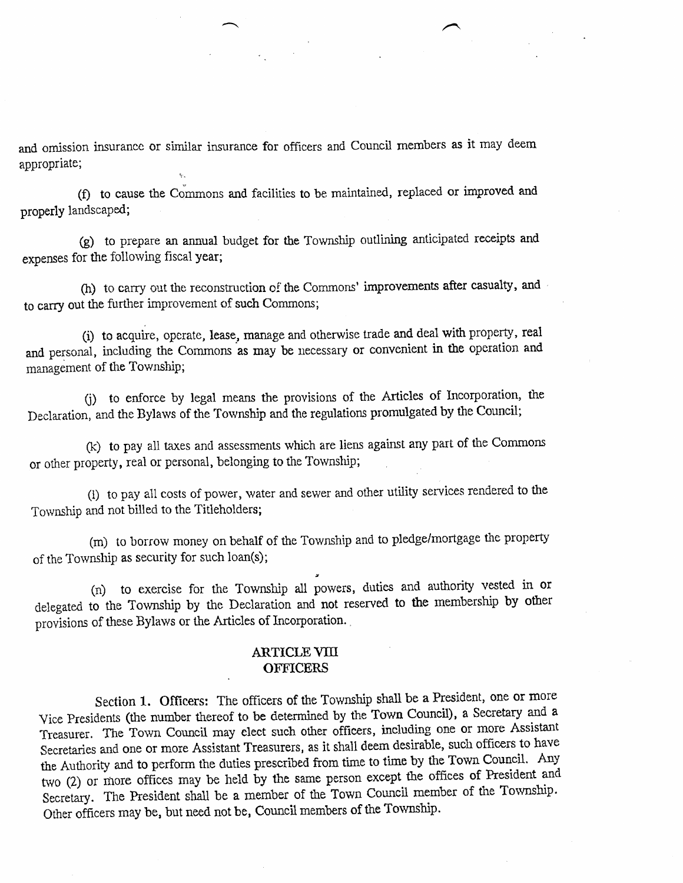and omission insurance or similar insurance for officers and Council members as it may deem appropriate;

1.

(f) to cause the Commons and facilities to be maintained, replaced or improved and properly landscaped;

G) to prepare an annual budget for the Township outlining anticipated receipts and expenses for the following fiscal year;

(h) to carry out the reconstruction of the Commons' improvements after casualty, and to carry out the further improvement af such Commons;

(i) to acquire, operate, lease, manage and otherwise trade and deal with property, real and personal, including the Commons as may be necessary or convenient in the operation and management of the Township;

0) to enforce by legal means the provisions of the Articles of Incorpotation, the Declaration, and the Bylaws of the Township and the regulations promulgated by the Council;

(k) to pay all taxes and assessments which are liens against any part of the Commons or other property, real or personal, belonging to the Township;

(i) to pay all costs of power, water and sewer and other utility seryices rendered to the Township and not billed to the Titleholders;

(m) to borrow money on behalf of the Township and to pledge/mortgage the property of the Township as security for such loan(s);

(n) to exercise for the Township all powers, duties and authority vested in or delegated to the Township by the Declaration and not reserved to the membership by other provisions of these Bylaws or the Articles of Incorporation.

### **ARTICLE VIII OFFICERS**

Section l. Officers: The officers of the Towrship shall be a President, one or more Vice presidents (the number thereof to be deterrnined by the Town Council), a Secretary and <sup>a</sup> Treasurer. The Town Council may elect such other officers, including one or more Assistant Secretaries and one or more Assistant Treasurers, as it shall deem desirable, such officers to have the Authority and to perform the duties prescribed from time to time by the Town Council. Any two (2) or more offices may be held by the same person except the offices of President and Secretary. The President shall be a member of the Town Council member of the Township. Other officers may be, but need not be, Council members of the Township.